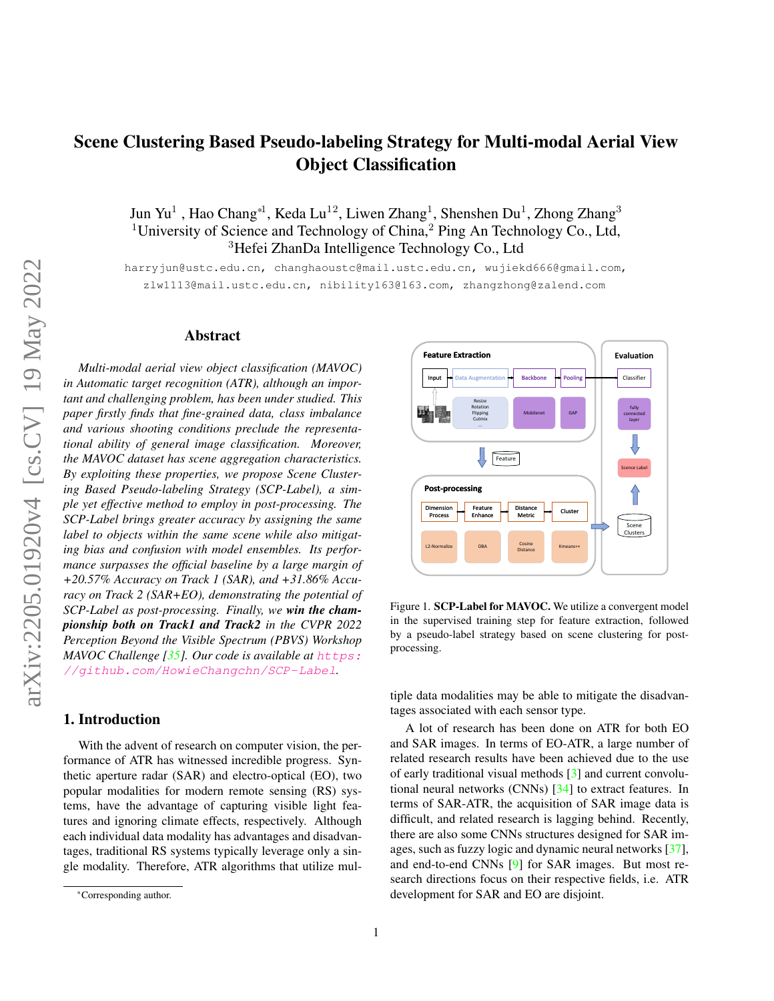# <span id="page-0-1"></span>Scene Clustering Based Pseudo-labeling Strategy for Multi-modal Aerial View Object Classification

Jun Yu $^1$  , Hao Chang\*1, Keda Lu $^{12}$ , Liwen Zhang<sup>1</sup>, Shenshen Du $^1$ , Zhong Zhang $^3$ <sup>1</sup>University of Science and Technology of China,<sup>2</sup> Ping An Technology Co., Ltd, <sup>3</sup>Hefei ZhanDa Intelligence Technology Co., Ltd

harryjun@ustc.edu.cn, changhaoustc@mail.ustc.edu.cn, wujiekd666@gmail.com, zlw1113@mail.ustc.edu.cn, nibility163@163.com, zhangzhong@zalend.com

# Abstract

*Multi-modal aerial view object classification (MAVOC) in Automatic target recognition (ATR), although an important and challenging problem, has been under studied. This paper firstly finds that fine-grained data, class imbalance and various shooting conditions preclude the representational ability of general image classification. Moreover, the MAVOC dataset has scene aggregation characteristics. By exploiting these properties, we propose Scene Clustering Based Pseudo-labeling Strategy (SCP-Label), a simple yet effective method to employ in post-processing. The SCP-Label brings greater accuracy by assigning the same label to objects within the same scene while also mitigating bias and confusion with model ensembles. Its performance surpasses the official baseline by a large margin of +20.57% Accuracy on Track 1 (SAR), and +31.86% Accuracy on Track 2 (SAR+EO), demonstrating the potential of SCP-Label as post-processing. Finally, we win the championship both on Track1 and Track2 in the CVPR 2022 Perception Beyond the Visible Spectrum (PBVS) Workshop MAVOC Challenge [\[35\]](#page-8-0). Our code is available at* [https:](https://github.com/HowieChangchn/SCP-Label) [//github.com/HowieChangchn/SCP-Label](https://github.com/HowieChangchn/SCP-Label)*.*

# 1. Introduction

With the advent of research on computer vision, the performance of ATR has witnessed incredible progress. Synthetic aperture radar (SAR) and electro-optical (EO), two popular modalities for modern remote sensing (RS) systems, have the advantage of capturing visible light features and ignoring climate effects, respectively. Although each individual data modality has advantages and disadvantages, traditional RS systems typically leverage only a single modality. Therefore, ATR algorithms that utilize mul-

<span id="page-0-0"></span>

Figure 1. SCP-Label for MAVOC. We utilize a convergent model in the supervised training step for feature extraction, followed by a pseudo-label strategy based on scene clustering for postprocessing.

tiple data modalities may be able to mitigate the disadvantages associated with each sensor type.

A lot of research has been done on ATR for both EO and SAR images. In terms of EO-ATR, a large number of related research results have been achieved due to the use of early traditional visual methods [\[3\]](#page-7-0) and current convolutional neural networks (CNNs) [\[34\]](#page-8-1) to extract features. In terms of SAR-ATR, the acquisition of SAR image data is difficult, and related research is lagging behind. Recently, there are also some CNNs structures designed for SAR images, such as fuzzy logic and dynamic neural networks [\[37\]](#page-8-2), and end-to-end CNNs [\[9\]](#page-7-1) for SAR images. But most research directions focus on their respective fields, i.e. ATR development for SAR and EO are disjoint.

<sup>\*</sup>Corresponding author.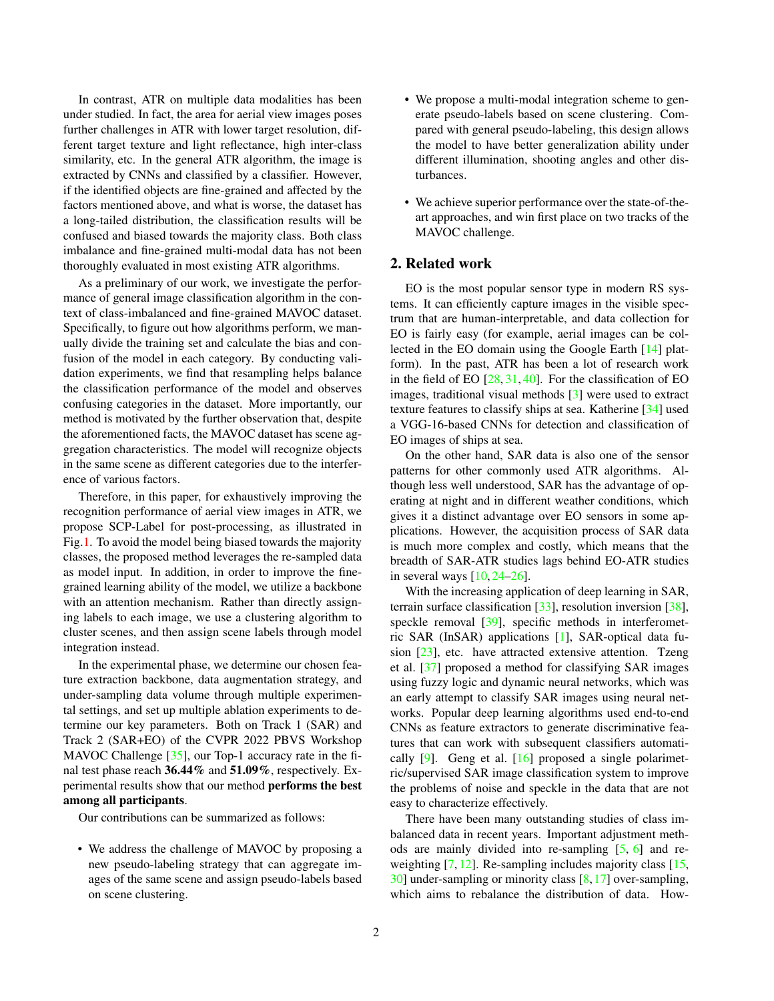<span id="page-1-0"></span>In contrast, ATR on multiple data modalities has been under studied. In fact, the area for aerial view images poses further challenges in ATR with lower target resolution, different target texture and light reflectance, high inter-class similarity, etc. In the general ATR algorithm, the image is extracted by CNNs and classified by a classifier. However, if the identified objects are fine-grained and affected by the factors mentioned above, and what is worse, the dataset has a long-tailed distribution, the classification results will be confused and biased towards the majority class. Both class imbalance and fine-grained multi-modal data has not been thoroughly evaluated in most existing ATR algorithms.

As a preliminary of our work, we investigate the performance of general image classification algorithm in the context of class-imbalanced and fine-grained MAVOC dataset. Specifically, to figure out how algorithms perform, we manually divide the training set and calculate the bias and confusion of the model in each category. By conducting validation experiments, we find that resampling helps balance the classification performance of the model and observes confusing categories in the dataset. More importantly, our method is motivated by the further observation that, despite the aforementioned facts, the MAVOC dataset has scene aggregation characteristics. The model will recognize objects in the same scene as different categories due to the interference of various factors.

Therefore, in this paper, for exhaustively improving the recognition performance of aerial view images in ATR, we propose SCP-Label for post-processing, as illustrated in Fig[.1.](#page-0-0) To avoid the model being biased towards the majority classes, the proposed method leverages the re-sampled data as model input. In addition, in order to improve the finegrained learning ability of the model, we utilize a backbone with an attention mechanism. Rather than directly assigning labels to each image, we use a clustering algorithm to cluster scenes, and then assign scene labels through model integration instead.

In the experimental phase, we determine our chosen feature extraction backbone, data augmentation strategy, and under-sampling data volume through multiple experimental settings, and set up multiple ablation experiments to determine our key parameters. Both on Track 1 (SAR) and Track 2 (SAR+EO) of the CVPR 2022 PBVS Workshop MAVOC Challenge [\[35\]](#page-8-0), our Top-1 accuracy rate in the final test phase reach 36.44% and 51.09%, respectively. Experimental results show that our method performs the best among all participants.

Our contributions can be summarized as follows:

• We address the challenge of MAVOC by proposing a new pseudo-labeling strategy that can aggregate images of the same scene and assign pseudo-labels based on scene clustering.

- We propose a multi-modal integration scheme to generate pseudo-labels based on scene clustering. Compared with general pseudo-labeling, this design allows the model to have better generalization ability under different illumination, shooting angles and other disturbances.
- We achieve superior performance over the state-of-theart approaches, and win first place on two tracks of the MAVOC challenge.

# 2. Related work

EO is the most popular sensor type in modern RS systems. It can efficiently capture images in the visible spectrum that are human-interpretable, and data collection for EO is fairly easy (for example, aerial images can be collected in the EO domain using the Google Earth [\[14\]](#page-8-3) platform). In the past, ATR has been a lot of research work in the field of EO  $[28, 31, 40]$  $[28, 31, 40]$  $[28, 31, 40]$  $[28, 31, 40]$  $[28, 31, 40]$ . For the classification of EO images, traditional visual methods [\[3\]](#page-7-0) were used to extract texture features to classify ships at sea. Katherine [\[34\]](#page-8-1) used a VGG-16-based CNNs for detection and classification of EO images of ships at sea.

On the other hand, SAR data is also one of the sensor patterns for other commonly used ATR algorithms. Although less well understood, SAR has the advantage of operating at night and in different weather conditions, which gives it a distinct advantage over EO sensors in some applications. However, the acquisition process of SAR data is much more complex and costly, which means that the breadth of SAR-ATR studies lags behind EO-ATR studies in several ways [\[10,](#page-7-2) [24](#page-8-7)[–26\]](#page-8-8).

With the increasing application of deep learning in SAR, terrain surface classification [\[33\]](#page-8-9), resolution inversion [\[38\]](#page-8-10), speckle removal [\[39\]](#page-8-11), specific methods in interferometric SAR (InSAR) applications [\[1\]](#page-7-3), SAR-optical data fusion [\[23\]](#page-8-12), etc. have attracted extensive attention. Tzeng et al. [\[37\]](#page-8-2) proposed a method for classifying SAR images using fuzzy logic and dynamic neural networks, which was an early attempt to classify SAR images using neural networks. Popular deep learning algorithms used end-to-end CNNs as feature extractors to generate discriminative features that can work with subsequent classifiers automatically  $[9]$ . Geng et al.  $[16]$  proposed a single polarimetric/supervised SAR image classification system to improve the problems of noise and speckle in the data that are not easy to characterize effectively.

There have been many outstanding studies of class imbalanced data in recent years. Important adjustment methods are mainly divided into re-sampling  $[5, 6]$  $[5, 6]$  $[5, 6]$  and reweighting  $[7, 12]$  $[7, 12]$  $[7, 12]$ . Re-sampling includes majority class  $[15, 12]$  $[15, 12]$ . [30\]](#page-8-15) under-sampling or minority class [\[8,](#page-7-8)[17\]](#page-8-16) over-sampling, which aims to rebalance the distribution of data. How-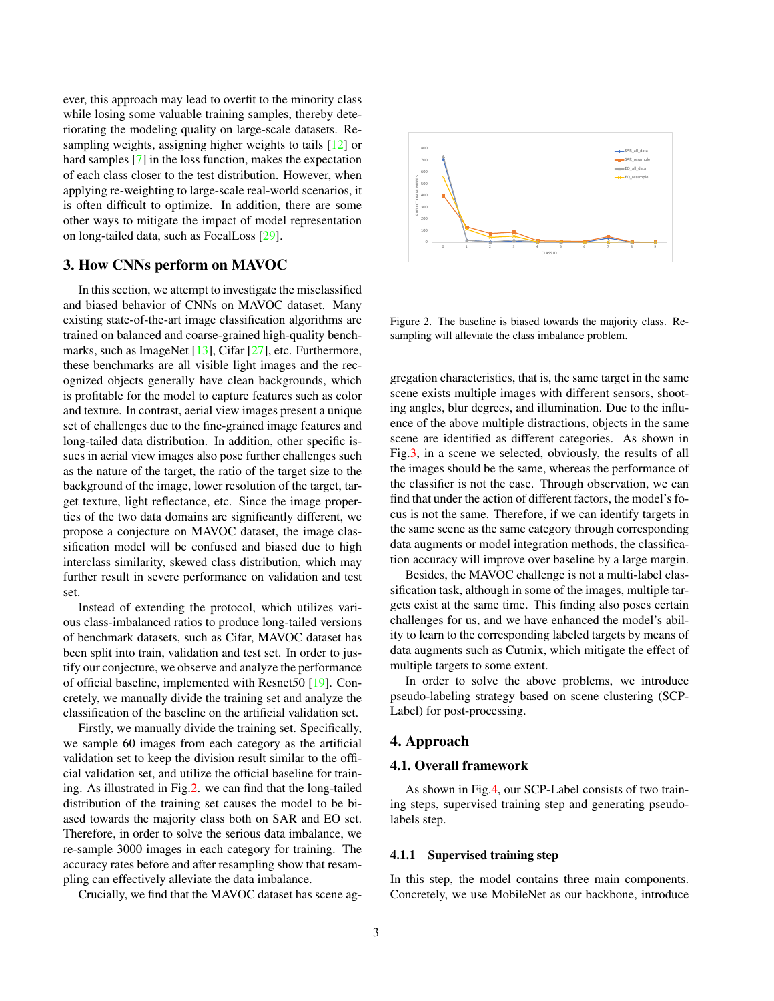<span id="page-2-2"></span>ever, this approach may lead to overfit to the minority class while losing some valuable training samples, thereby deteriorating the modeling quality on large-scale datasets. Resampling weights, assigning higher weights to tails [\[12\]](#page-7-7) or hard samples [\[7\]](#page-7-6) in the loss function, makes the expectation of each class closer to the test distribution. However, when applying re-weighting to large-scale real-world scenarios, it is often difficult to optimize. In addition, there are some other ways to mitigate the impact of model representation on long-tailed data, such as FocalLoss [\[29\]](#page-8-17).

# <span id="page-2-1"></span>3. How CNNs perform on MAVOC

In this section, we attempt to investigate the misclassified and biased behavior of CNNs on MAVOC dataset. Many existing state-of-the-art image classification algorithms are trained on balanced and coarse-grained high-quality bench-marks, such as ImageNet [\[13\]](#page-8-18), Cifar [\[27\]](#page-8-19), etc. Furthermore, these benchmarks are all visible light images and the recognized objects generally have clean backgrounds, which is profitable for the model to capture features such as color and texture. In contrast, aerial view images present a unique set of challenges due to the fine-grained image features and long-tailed data distribution. In addition, other specific issues in aerial view images also pose further challenges such as the nature of the target, the ratio of the target size to the background of the image, lower resolution of the target, target texture, light reflectance, etc. Since the image properties of the two data domains are significantly different, we propose a conjecture on MAVOC dataset, the image classification model will be confused and biased due to high interclass similarity, skewed class distribution, which may further result in severe performance on validation and test set.

Instead of extending the protocol, which utilizes various class-imbalanced ratios to produce long-tailed versions of benchmark datasets, such as Cifar, MAVOC dataset has been split into train, validation and test set. In order to justify our conjecture, we observe and analyze the performance of official baseline, implemented with Resnet50 [\[19\]](#page-8-20). Concretely, we manually divide the training set and analyze the classification of the baseline on the artificial validation set.

Firstly, we manually divide the training set. Specifically, we sample 60 images from each category as the artificial validation set to keep the division result similar to the official validation set, and utilize the official baseline for training. As illustrated in Fig[.2.](#page-2-0) we can find that the long-tailed distribution of the training set causes the model to be biased towards the majority class both on SAR and EO set. Therefore, in order to solve the serious data imbalance, we re-sample 3000 images in each category for training. The accuracy rates before and after resampling show that resampling can effectively alleviate the data imbalance.

Crucially, we find that the MAVOC dataset has scene ag-

<span id="page-2-0"></span>

Figure 2. The baseline is biased towards the majority class. Resampling will alleviate the class imbalance problem.

gregation characteristics, that is, the same target in the same scene exists multiple images with different sensors, shooting angles, blur degrees, and illumination. Due to the influence of the above multiple distractions, objects in the same scene are identified as different categories. As shown in Fig[.3,](#page-3-0) in a scene we selected, obviously, the results of all the images should be the same, whereas the performance of the classifier is not the case. Through observation, we can find that under the action of different factors, the model's focus is not the same. Therefore, if we can identify targets in the same scene as the same category through corresponding data augments or model integration methods, the classification accuracy will improve over baseline by a large margin.

Besides, the MAVOC challenge is not a multi-label classification task, although in some of the images, multiple targets exist at the same time. This finding also poses certain challenges for us, and we have enhanced the model's ability to learn to the corresponding labeled targets by means of data augments such as Cutmix, which mitigate the effect of multiple targets to some extent.

In order to solve the above problems, we introduce pseudo-labeling strategy based on scene clustering (SCP-Label) for post-processing.

# 4. Approach

# 4.1. Overall framework

As shown in Fig[.4,](#page-4-0) our SCP-Label consists of two training steps, supervised training step and generating pseudolabels step.

#### 4.1.1 Supervised training step

In this step, the model contains three main components. Concretely, we use MobileNet as our backbone, introduce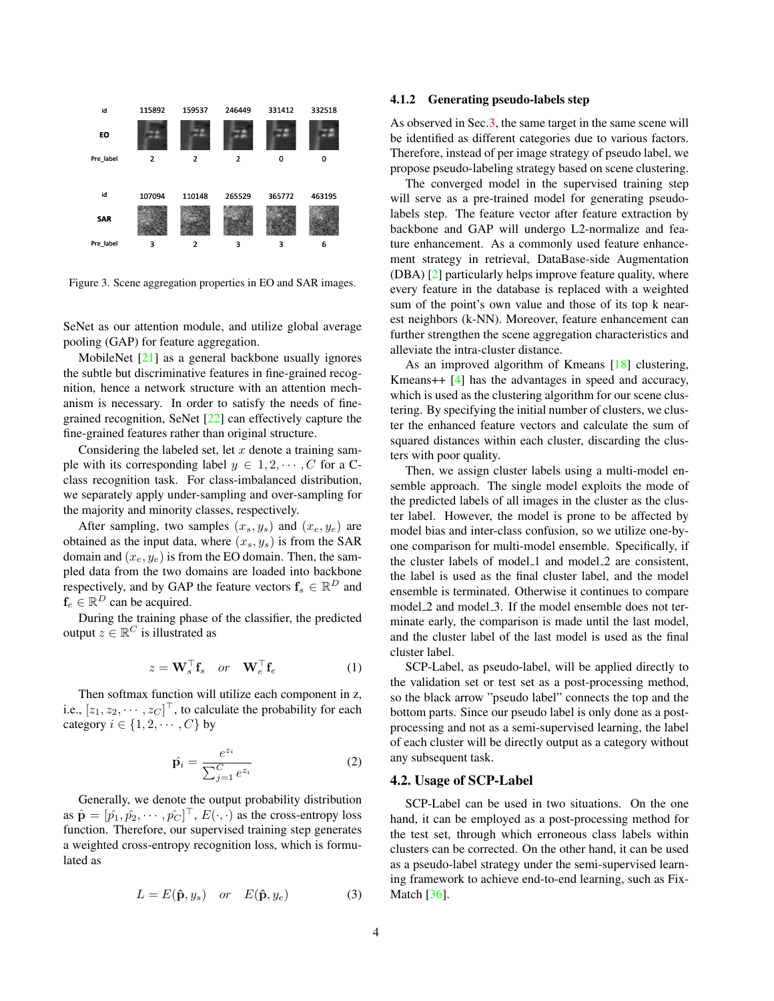<span id="page-3-1"></span><span id="page-3-0"></span>

Figure 3. Scene aggregation properties in EO and SAR images.

SeNet as our attention module, and utilize global average pooling (GAP) for feature aggregation.

MobileNet [\[21\]](#page-8-21) as a general backbone usually ignores the subtle but discriminative features in fine-grained recognition, hence a network structure with an attention mechanism is necessary. In order to satisfy the needs of finegrained recognition, SeNet [\[22\]](#page-8-22) can effectively capture the fine-grained features rather than original structure.

Considering the labeled set, let  $x$  denote a training sample with its corresponding label  $y \in 1, 2, \cdots, C$  for a Cclass recognition task. For class-imbalanced distribution, we separately apply under-sampling and over-sampling for the majority and minority classes, respectively.

After sampling, two samples  $(x_s, y_s)$  and  $(x_e, y_e)$  are obtained as the input data, where  $(x_s, y_s)$  is from the SAR domain and  $(x_e, y_e)$  is from the EO domain. Then, the sampled data from the two domains are loaded into backbone respectively, and by GAP the feature vectors  $f_s \in \mathbb{R}^D$  and  $f_e \in \mathbb{R}^D$  can be acquired.

During the training phase of the classifier, the predicted output  $z \in \mathbb{R}^C$  is illustrated as

$$
z = \mathbf{W}_s^\top \mathbf{f}_s \quad or \quad \mathbf{W}_e^\top \mathbf{f}_e \tag{1}
$$

Then softmax function will utilize each component in z, i.e.,  $[z_1, z_2, \dots, z_C]^\top$ , to calculate the probability for each category  $i \in \{1, 2, \cdots, C\}$  by

$$
\hat{\mathbf{p}}_i = \frac{e^{z_i}}{\sum_{j=1}^C e^{z_i}}\tag{2}
$$

Generally, we denote the output probability distribution as  $\hat{\mathbf{p}} = [\hat{p}_1, \hat{p}_2, \cdots, \hat{p}_C]^\top$ ,  $E(\cdot, \cdot)$  as the cross-entropy loss function. Therefore, our supervised training step generates a weighted cross-entropy recognition loss, which is formulated as

$$
L = E(\hat{\mathbf{p}}, y_s) \quad or \quad E(\hat{\mathbf{p}}, y_e) \tag{3}
$$

#### 4.1.2 Generating pseudo-labels step

As observed in Sec[.3,](#page-2-1) the same target in the same scene will be identified as different categories due to various factors. Therefore, instead of per image strategy of pseudo label, we propose pseudo-labeling strategy based on scene clustering.

The converged model in the supervised training step will serve as a pre-trained model for generating pseudolabels step. The feature vector after feature extraction by backbone and GAP will undergo L2-normalize and feature enhancement. As a commonly used feature enhancement strategy in retrieval, DataBase-side Augmentation (DBA) [\[2\]](#page-7-9) particularly helps improve feature quality, where every feature in the database is replaced with a weighted sum of the point's own value and those of its top k nearest neighbors (k-NN). Moreover, feature enhancement can further strengthen the scene aggregation characteristics and alleviate the intra-cluster distance.

As an improved algorithm of Kmeans [\[18\]](#page-8-23) clustering, Kmeans++ [\[4\]](#page-7-10) has the advantages in speed and accuracy, which is used as the clustering algorithm for our scene clustering. By specifying the initial number of clusters, we cluster the enhanced feature vectors and calculate the sum of squared distances within each cluster, discarding the clusters with poor quality.

Then, we assign cluster labels using a multi-model ensemble approach. The single model exploits the mode of the predicted labels of all images in the cluster as the cluster label. However, the model is prone to be affected by model bias and inter-class confusion, so we utilize one-byone comparison for multi-model ensemble. Specifically, if the cluster labels of model\_1 and model\_2 are consistent, the label is used as the final cluster label, and the model ensemble is terminated. Otherwise it continues to compare model 2 and model 3. If the model ensemble does not terminate early, the comparison is made until the last model, and the cluster label of the last model is used as the final cluster label.

SCP-Label, as pseudo-label, will be applied directly to the validation set or test set as a post-processing method, so the black arrow "pseudo label" connects the top and the bottom parts. Since our pseudo label is only done as a postprocessing and not as a semi-supervised learning, the label of each cluster will be directly output as a category without any subsequent task.

#### 4.2. Usage of SCP-Label

SCP-Label can be used in two situations. On the one hand, it can be employed as a post-processing method for the test set, through which erroneous class labels within clusters can be corrected. On the other hand, it can be used as a pseudo-label strategy under the semi-supervised learning framework to achieve end-to-end learning, such as Fix-Match [\[36\]](#page-8-24).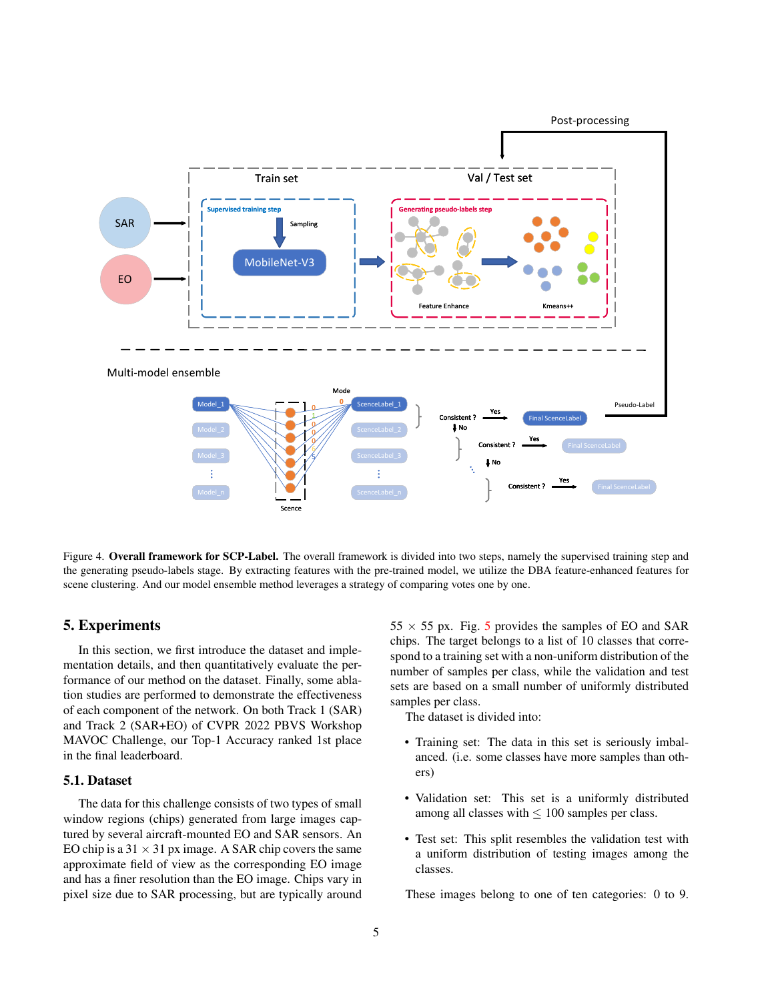<span id="page-4-0"></span>

Figure 4. Overall framework for SCP-Label. The overall framework is divided into two steps, namely the supervised training step and the generating pseudo-labels stage. By extracting features with the pre-trained model, we utilize the DBA feature-enhanced features for scene clustering. And our model ensemble method leverages a strategy of comparing votes one by one.

# 5. Experiments

In this section, we first introduce the dataset and implementation details, and then quantitatively evaluate the performance of our method on the dataset. Finally, some ablation studies are performed to demonstrate the effectiveness of each component of the network. On both Track 1 (SAR) and Track 2 (SAR+EO) of CVPR 2022 PBVS Workshop MAVOC Challenge, our Top-1 Accuracy ranked 1st place in the final leaderboard.

#### 5.1. Dataset

The data for this challenge consists of two types of small window regions (chips) generated from large images captured by several aircraft-mounted EO and SAR sensors. An EO chip is a  $31 \times 31$  px image. A SAR chip covers the same approximate field of view as the corresponding EO image and has a finer resolution than the EO image. Chips vary in pixel size due to SAR processing, but are typically around  $55 \times 55$  $55 \times 55$  px. Fig. 5 provides the samples of EO and SAR chips. The target belongs to a list of 10 classes that correspond to a training set with a non-uniform distribution of the number of samples per class, while the validation and test sets are based on a small number of uniformly distributed samples per class.

The dataset is divided into:

- Training set: The data in this set is seriously imbalanced. (i.e. some classes have more samples than others)
- Validation set: This set is a uniformly distributed among all classes with  $\leq 100$  samples per class.
- Test set: This split resembles the validation test with a uniform distribution of testing images among the classes.

These images belong to one of ten categories: 0 to 9.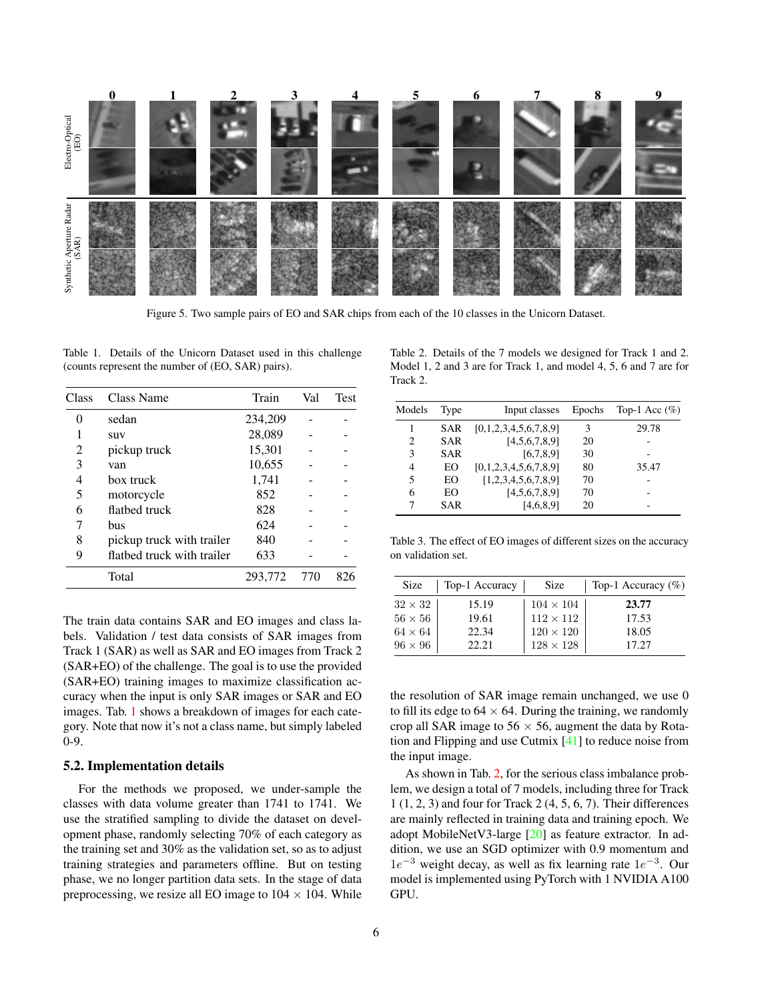<span id="page-5-4"></span><span id="page-5-0"></span>

Figure 5. Two sample pairs of EO and SAR chips from each of the 10 classes in the Unicorn Dataset.

<span id="page-5-1"></span>Table 1. Details of the Unicorn Dataset used in this challenge (counts represent the number of (EO, SAR) pairs).

| Class | Class Name                 | Train   | Val | <b>Test</b> |
|-------|----------------------------|---------|-----|-------------|
| 0     | sedan                      | 234,209 |     |             |
|       | suv                        | 28,089  |     |             |
| 2     | pickup truck               | 15,301  |     |             |
| 3     | van                        | 10,655  |     |             |
| 4     | box truck                  | 1,741   |     |             |
| 5     | motorcycle                 | 852     |     |             |
| 6     | flathed truck              | 828     |     |             |
| 7     | bus                        | 624     |     |             |
| 8     | pickup truck with trailer  | 840     |     |             |
| 9     | flatbed truck with trailer | 633     |     |             |
|       | Total                      | 293,772 | 770 | 826         |

The train data contains SAR and EO images and class labels. Validation / test data consists of SAR images from Track 1 (SAR) as well as SAR and EO images from Track 2 (SAR+EO) of the challenge. The goal is to use the provided (SAR+EO) training images to maximize classification accuracy when the input is only SAR images or SAR and EO images. Tab. [1](#page-5-1) shows a breakdown of images for each category. Note that now it's not a class name, but simply labeled 0-9.

#### 5.2. Implementation details

For the methods we proposed, we under-sample the classes with data volume greater than 1741 to 1741. We use the stratified sampling to divide the dataset on development phase, randomly selecting 70% of each category as the training set and 30% as the validation set, so as to adjust training strategies and parameters offline. But on testing phase, we no longer partition data sets. In the stage of data preprocessing, we resize all EO image to  $104 \times 104$ . While

<span id="page-5-2"></span>Table 2. Details of the 7 models we designed for Track 1 and 2. Model 1, 2 and 3 are for Track 1, and model 4, 5, 6 and 7 are for Track 2.

| Models | Type       | Input classes         | Epochs | Top-1 Acc $(\%)$ |
|--------|------------|-----------------------|--------|------------------|
|        | <b>SAR</b> | [0,1,2,3,4,5,6,7,8,9] | 3      | 29.78            |
| 2      | <b>SAR</b> | [4,5,6,7,8,9]         | 20     |                  |
| 3      | <b>SAR</b> | [6,7,8,9]             | 30     |                  |
| 4      | EО         | [0,1,2,3,4,5,6,7,8,9] | 80     | 35.47            |
| 5      | EO.        | [1,2,3,4,5,6,7,8,9]   | 70     |                  |
| 6      | EО         | [4,5,6,7,8,9]         | 70     |                  |
|        | <b>SAR</b> | [4,6,8,9]             | 20     |                  |

<span id="page-5-3"></span>Table 3. The effect of EO images of different sizes on the accuracy on validation set.

| Size           | Top-1 Accuracy | <b>Size</b>      | Top-1 Accuracy $(\%)$ |
|----------------|----------------|------------------|-----------------------|
| $32 \times 32$ | 15.19          | $104 \times 104$ | 23.77                 |
| $56 \times 56$ | 19.61          | $112 \times 112$ | 17.53                 |
| $64 \times 64$ | 22.34          | $120 \times 120$ | 18.05                 |
| $96 \times 96$ | 22.21          | $128 \times 128$ | 17.27                 |

the resolution of SAR image remain unchanged, we use 0 to fill its edge to  $64 \times 64$ . During the training, we randomly crop all SAR image to  $56 \times 56$ , augment the data by Rotation and Flipping and use Cutmix [\[41\]](#page-9-0) to reduce noise from the input image.

As shown in Tab. [2,](#page-5-2) for the serious class imbalance problem, we design a total of 7 models, including three for Track 1 (1, 2, 3) and four for Track 2 (4, 5, 6, 7). Their differences are mainly reflected in training data and training epoch. We adopt MobileNetV3-large [\[20\]](#page-8-25) as feature extractor. In addition, we use an SGD optimizer with 0.9 momentum and  $1e^{-3}$  weight decay, as well as fix learning rate  $1e^{-3}$ . Our model is implemented using PyTorch with 1 NVIDIA A100 GPU.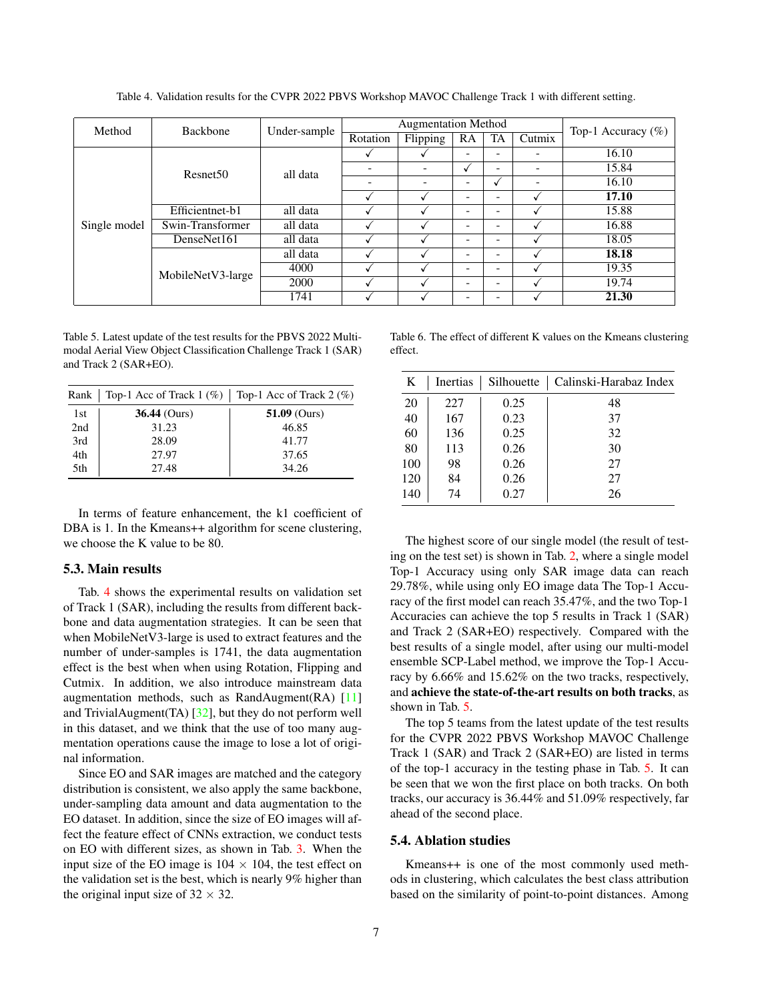<span id="page-6-3"></span><span id="page-6-0"></span>

| Method       | <b>Backbone</b>                  | Under-sample             | <b>Augmentation Method</b> |          |    |    |        |                                                           |
|--------------|----------------------------------|--------------------------|----------------------------|----------|----|----|--------|-----------------------------------------------------------|
|              |                                  |                          | Rotation                   | Flipping | RA | TA | Cutmix |                                                           |
|              | all data<br>Resnet <sub>50</sub> |                          |                            |          |    |    |        | 16.10                                                     |
|              |                                  | $\overline{\phantom{a}}$ |                            | v        | ٠  | -  | 15.84  |                                                           |
|              |                                  |                          | $\overline{\phantom{a}}$   | ۰        | -  |    | -      | 16.10                                                     |
|              |                                  |                          |                            |          | -  |    |        | 17.10                                                     |
|              | Efficientnet-b1                  | all data                 |                            |          | -  | -  |        | 15.88                                                     |
| Single model | Swin-Transformer                 | all data                 |                            |          | -  |    |        | 16.88                                                     |
|              | DenseNet161                      | all data                 |                            |          |    |    |        | 18.05                                                     |
|              |                                  | all data                 |                            |          |    |    |        | Top-1 Accuracy $(\%)$<br>18.18<br>19.35<br>19.74<br>21.30 |
|              | MobileNetV3-large                | 4000                     |                            |          | -  | ۰  |        |                                                           |
|              |                                  | 2000                     |                            |          | -  | -  |        |                                                           |
|              |                                  | 1741                     |                            |          |    |    |        |                                                           |

Table 4. Validation results for the CVPR 2022 PBVS Workshop MAVOC Challenge Track 1 with different setting.

<span id="page-6-1"></span>Table 5. Latest update of the test results for the PBVS 2022 Multimodal Aerial View Object Classification Challenge Track 1 (SAR) and Track 2 (SAR+EO).

| Rank | Top-1 Acc of Track $1 (\%)$ Top-1 Acc of Track $2 (\%)$ |                |
|------|---------------------------------------------------------|----------------|
| 1st  | $36.44$ (Ours)                                          | $51.09$ (Ours) |
| 2nd  | 31.23                                                   | 46.85          |
| 3rd  | 28.09                                                   | 41.77          |
| 4th  | 27.97                                                   | 37.65          |
| 5th  | 27.48                                                   | 34.26          |

In terms of feature enhancement, the k1 coefficient of DBA is 1. In the Kmeans++ algorithm for scene clustering, we choose the K value to be 80.

# 5.3. Main results

Tab. [4](#page-6-0) shows the experimental results on validation set of Track 1 (SAR), including the results from different backbone and data augmentation strategies. It can be seen that when MobileNetV3-large is used to extract features and the number of under-samples is 1741, the data augmentation effect is the best when when using Rotation, Flipping and Cutmix. In addition, we also introduce mainstream data augmentation methods, such as RandAugment $(RA)$  [\[11\]](#page-7-11) and TrivialAugment(TA)  $[32]$ , but they do not perform well in this dataset, and we think that the use of too many augmentation operations cause the image to lose a lot of original information.

Since EO and SAR images are matched and the category distribution is consistent, we also apply the same backbone, under-sampling data amount and data augmentation to the EO dataset. In addition, since the size of EO images will affect the feature effect of CNNs extraction, we conduct tests on EO with different sizes, as shown in Tab. [3.](#page-5-3) When the input size of the EO image is  $104 \times 104$ , the test effect on the validation set is the best, which is nearly 9% higher than the original input size of  $32 \times 32$ .

<span id="page-6-2"></span>Table 6. The effect of different K values on the Kmeans clustering effect.

| K   | Inertias | Silhouette | Calinski-Harabaz Index |
|-----|----------|------------|------------------------|
| 20  | 227      | 0.25       | 48                     |
| 40  | 167      | 0.23       | 37                     |
| 60  | 136      | 0.25       | 32                     |
| 80  | 113      | 0.26       | 30                     |
| 100 | 98       | 0.26       | 27                     |
| 120 | 84       | 0.26       | 27                     |
| 140 | 74       | 0.27       | 26                     |

The highest score of our single model (the result of testing on the test set) is shown in Tab. [2,](#page-5-2) where a single model Top-1 Accuracy using only SAR image data can reach 29.78%, while using only EO image data The Top-1 Accuracy of the first model can reach 35.47%, and the two Top-1 Accuracies can achieve the top 5 results in Track 1 (SAR) and Track 2 (SAR+EO) respectively. Compared with the best results of a single model, after using our multi-model ensemble SCP-Label method, we improve the Top-1 Accuracy by 6.66% and 15.62% on the two tracks, respectively, and achieve the state-of-the-art results on both tracks, as shown in Tab. [5.](#page-6-1)

The top 5 teams from the latest update of the test results for the CVPR 2022 PBVS Workshop MAVOC Challenge Track 1 (SAR) and Track 2 (SAR+EO) are listed in terms of the top-1 accuracy in the testing phase in Tab. [5.](#page-6-1) It can be seen that we won the first place on both tracks. On both tracks, our accuracy is 36.44% and 51.09% respectively, far ahead of the second place.

#### 5.4. Ablation studies

Kmeans++ is one of the most commonly used methods in clustering, which calculates the best class attribution based on the similarity of point-to-point distances. Among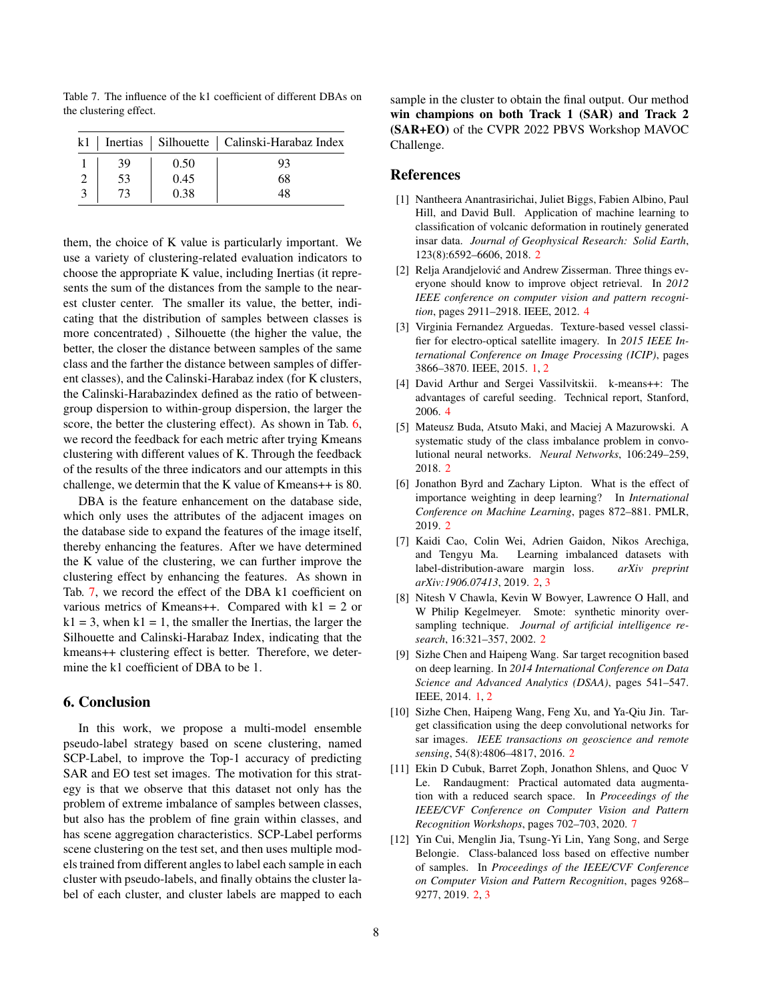<span id="page-7-12"></span>Table 7. The influence of the k1 coefficient of different DBAs on the clustering effect.

|    |      | k1   Inertias   Silhouette   Calinski-Harabaz Index |
|----|------|-----------------------------------------------------|
| 39 | 0.50 | 93                                                  |
| 53 | 0.45 | 68                                                  |
|    | 0.38 | 48                                                  |

them, the choice of K value is particularly important. We use a variety of clustering-related evaluation indicators to choose the appropriate K value, including Inertias (it represents the sum of the distances from the sample to the nearest cluster center. The smaller its value, the better, indicating that the distribution of samples between classes is more concentrated) , Silhouette (the higher the value, the better, the closer the distance between samples of the same class and the farther the distance between samples of different classes), and the Calinski-Harabaz index (for K clusters, the Calinski-Harabazindex defined as the ratio of betweengroup dispersion to within-group dispersion, the larger the score, the better the clustering effect). As shown in Tab. [6,](#page-6-2) we record the feedback for each metric after trying Kmeans clustering with different values of K. Through the feedback of the results of the three indicators and our attempts in this challenge, we determin that the K value of Kmeans++ is 80.

DBA is the feature enhancement on the database side, which only uses the attributes of the adjacent images on the database side to expand the features of the image itself, thereby enhancing the features. After we have determined the K value of the clustering, we can further improve the clustering effect by enhancing the features. As shown in Tab. [7,](#page-7-12) we record the effect of the DBA k1 coefficient on various metrics of Kmeans++. Compared with  $k1 = 2$  or  $k1 = 3$ , when  $k1 = 1$ , the smaller the Inertias, the larger the Silhouette and Calinski-Harabaz Index, indicating that the kmeans++ clustering effect is better. Therefore, we determine the k1 coefficient of DBA to be 1.

# 6. Conclusion

In this work, we propose a multi-model ensemble pseudo-label strategy based on scene clustering, named SCP-Label, to improve the Top-1 accuracy of predicting SAR and EO test set images. The motivation for this strategy is that we observe that this dataset not only has the problem of extreme imbalance of samples between classes, but also has the problem of fine grain within classes, and has scene aggregation characteristics. SCP-Label performs scene clustering on the test set, and then uses multiple models trained from different angles to label each sample in each cluster with pseudo-labels, and finally obtains the cluster label of each cluster, and cluster labels are mapped to each sample in the cluster to obtain the final output. Our method win champions on both Track 1 (SAR) and Track 2 (SAR+EO) of the CVPR 2022 PBVS Workshop MAVOC Challenge.

### References

- <span id="page-7-3"></span>[1] Nantheera Anantrasirichai, Juliet Biggs, Fabien Albino, Paul Hill, and David Bull. Application of machine learning to classification of volcanic deformation in routinely generated insar data. *Journal of Geophysical Research: Solid Earth*, 123(8):6592–6606, 2018. [2](#page-1-0)
- <span id="page-7-9"></span>[2] Relja Arandjelović and Andrew Zisserman. Three things everyone should know to improve object retrieval. In *2012 IEEE conference on computer vision and pattern recognition*, pages 2911–2918. IEEE, 2012. [4](#page-3-1)
- <span id="page-7-0"></span>[3] Virginia Fernandez Arguedas. Texture-based vessel classifier for electro-optical satellite imagery. In *2015 IEEE International Conference on Image Processing (ICIP)*, pages 3866–3870. IEEE, 2015. [1,](#page-0-1) [2](#page-1-0)
- <span id="page-7-10"></span>[4] David Arthur and Sergei Vassilvitskii. k-means++: The advantages of careful seeding. Technical report, Stanford, 2006. [4](#page-3-1)
- <span id="page-7-4"></span>[5] Mateusz Buda, Atsuto Maki, and Maciej A Mazurowski. A systematic study of the class imbalance problem in convolutional neural networks. *Neural Networks*, 106:249–259, 2018. [2](#page-1-0)
- <span id="page-7-5"></span>[6] Jonathon Byrd and Zachary Lipton. What is the effect of importance weighting in deep learning? In *International Conference on Machine Learning*, pages 872–881. PMLR, 2019. [2](#page-1-0)
- <span id="page-7-6"></span>[7] Kaidi Cao, Colin Wei, Adrien Gaidon, Nikos Arechiga, and Tengyu Ma. Learning imbalanced datasets with label-distribution-aware margin loss. *arXiv preprint arXiv:1906.07413*, 2019. [2,](#page-1-0) [3](#page-2-2)
- <span id="page-7-8"></span>[8] Nitesh V Chawla, Kevin W Bowyer, Lawrence O Hall, and W Philip Kegelmeyer. Smote: synthetic minority oversampling technique. *Journal of artificial intelligence research*, 16:321–357, 2002. [2](#page-1-0)
- <span id="page-7-1"></span>[9] Sizhe Chen and Haipeng Wang. Sar target recognition based on deep learning. In *2014 International Conference on Data Science and Advanced Analytics (DSAA)*, pages 541–547. IEEE, 2014. [1,](#page-0-1) [2](#page-1-0)
- <span id="page-7-2"></span>[10] Sizhe Chen, Haipeng Wang, Feng Xu, and Ya-Qiu Jin. Target classification using the deep convolutional networks for sar images. *IEEE transactions on geoscience and remote sensing*, 54(8):4806–4817, 2016. [2](#page-1-0)
- <span id="page-7-11"></span>[11] Ekin D Cubuk, Barret Zoph, Jonathon Shlens, and Quoc V Le. Randaugment: Practical automated data augmentation with a reduced search space. In *Proceedings of the IEEE/CVF Conference on Computer Vision and Pattern Recognition Workshops*, pages 702–703, 2020. [7](#page-6-3)
- <span id="page-7-7"></span>[12] Yin Cui, Menglin Jia, Tsung-Yi Lin, Yang Song, and Serge Belongie. Class-balanced loss based on effective number of samples. In *Proceedings of the IEEE/CVF Conference on Computer Vision and Pattern Recognition*, pages 9268– 9277, 2019. [2,](#page-1-0) [3](#page-2-2)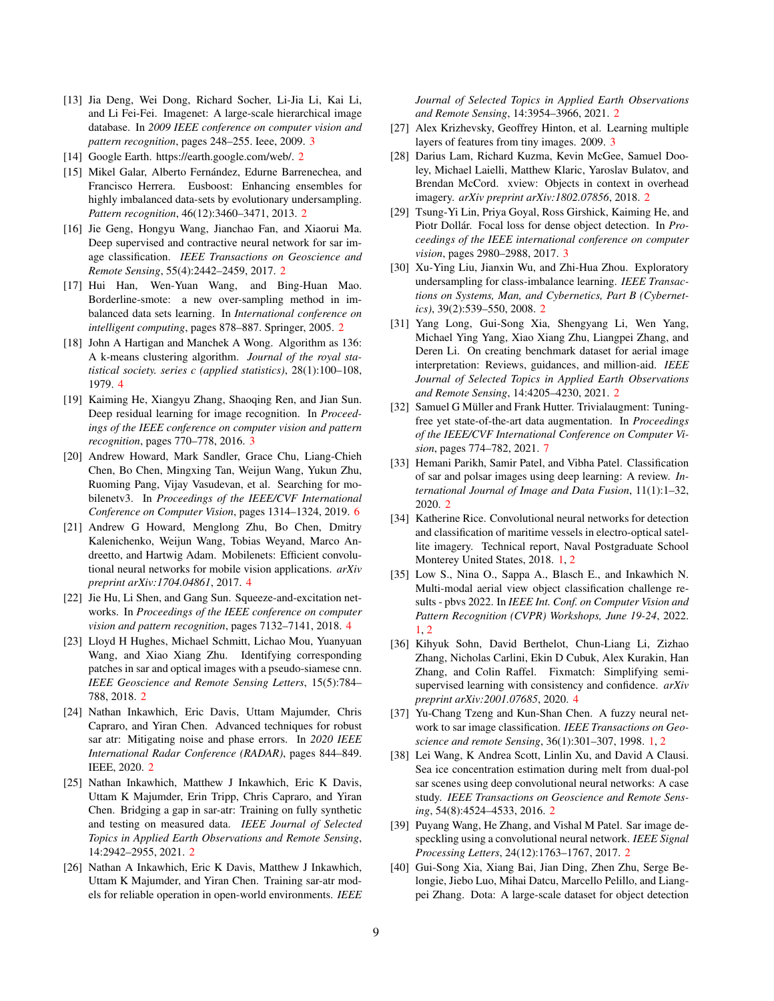- <span id="page-8-18"></span>[13] Jia Deng, Wei Dong, Richard Socher, Li-Jia Li, Kai Li, and Li Fei-Fei. Imagenet: A large-scale hierarchical image database. In *2009 IEEE conference on computer vision and pattern recognition*, pages 248–255. Ieee, 2009. [3](#page-2-2)
- <span id="page-8-3"></span>[14] Google Earth. https://earth.google.com/web/. [2](#page-1-0)
- <span id="page-8-14"></span>[15] Mikel Galar, Alberto Fernández, Edurne Barrenechea, and Francisco Herrera. Eusboost: Enhancing ensembles for highly imbalanced data-sets by evolutionary undersampling. *Pattern recognition*, 46(12):3460–3471, 2013. [2](#page-1-0)
- <span id="page-8-13"></span>[16] Jie Geng, Hongyu Wang, Jianchao Fan, and Xiaorui Ma. Deep supervised and contractive neural network for sar image classification. *IEEE Transactions on Geoscience and Remote Sensing*, 55(4):2442–2459, 2017. [2](#page-1-0)
- <span id="page-8-16"></span>[17] Hui Han, Wen-Yuan Wang, and Bing-Huan Mao. Borderline-smote: a new over-sampling method in imbalanced data sets learning. In *International conference on intelligent computing*, pages 878–887. Springer, 2005. [2](#page-1-0)
- <span id="page-8-23"></span>[18] John A Hartigan and Manchek A Wong. Algorithm as 136: A k-means clustering algorithm. *Journal of the royal statistical society. series c (applied statistics)*, 28(1):100–108, 1979. [4](#page-3-1)
- <span id="page-8-20"></span>[19] Kaiming He, Xiangyu Zhang, Shaoqing Ren, and Jian Sun. Deep residual learning for image recognition. In *Proceedings of the IEEE conference on computer vision and pattern recognition*, pages 770–778, 2016. [3](#page-2-2)
- <span id="page-8-25"></span>[20] Andrew Howard, Mark Sandler, Grace Chu, Liang-Chieh Chen, Bo Chen, Mingxing Tan, Weijun Wang, Yukun Zhu, Ruoming Pang, Vijay Vasudevan, et al. Searching for mobilenetv3. In *Proceedings of the IEEE/CVF International Conference on Computer Vision*, pages 1314–1324, 2019. [6](#page-5-4)
- <span id="page-8-21"></span>[21] Andrew G Howard, Menglong Zhu, Bo Chen, Dmitry Kalenichenko, Weijun Wang, Tobias Weyand, Marco Andreetto, and Hartwig Adam. Mobilenets: Efficient convolutional neural networks for mobile vision applications. *arXiv preprint arXiv:1704.04861*, 2017. [4](#page-3-1)
- <span id="page-8-22"></span>[22] Jie Hu, Li Shen, and Gang Sun. Squeeze-and-excitation networks. In *Proceedings of the IEEE conference on computer vision and pattern recognition*, pages 7132–7141, 2018. [4](#page-3-1)
- <span id="page-8-12"></span>[23] Lloyd H Hughes, Michael Schmitt, Lichao Mou, Yuanyuan Wang, and Xiao Xiang Zhu. Identifying corresponding patches in sar and optical images with a pseudo-siamese cnn. *IEEE Geoscience and Remote Sensing Letters*, 15(5):784– 788, 2018. [2](#page-1-0)
- <span id="page-8-7"></span>[24] Nathan Inkawhich, Eric Davis, Uttam Majumder, Chris Capraro, and Yiran Chen. Advanced techniques for robust sar atr: Mitigating noise and phase errors. In *2020 IEEE International Radar Conference (RADAR)*, pages 844–849. IEEE, 2020. [2](#page-1-0)
- [25] Nathan Inkawhich, Matthew J Inkawhich, Eric K Davis, Uttam K Majumder, Erin Tripp, Chris Capraro, and Yiran Chen. Bridging a gap in sar-atr: Training on fully synthetic and testing on measured data. *IEEE Journal of Selected Topics in Applied Earth Observations and Remote Sensing*, 14:2942–2955, 2021. [2](#page-1-0)
- <span id="page-8-8"></span>[26] Nathan A Inkawhich, Eric K Davis, Matthew J Inkawhich, Uttam K Majumder, and Yiran Chen. Training sar-atr models for reliable operation in open-world environments. *IEEE*

*Journal of Selected Topics in Applied Earth Observations and Remote Sensing*, 14:3954–3966, 2021. [2](#page-1-0)

- <span id="page-8-19"></span>[27] Alex Krizhevsky, Geoffrey Hinton, et al. Learning multiple layers of features from tiny images. 2009. [3](#page-2-2)
- <span id="page-8-4"></span>[28] Darius Lam, Richard Kuzma, Kevin McGee, Samuel Dooley, Michael Laielli, Matthew Klaric, Yaroslav Bulatov, and Brendan McCord. xview: Objects in context in overhead imagery. *arXiv preprint arXiv:1802.07856*, 2018. [2](#page-1-0)
- <span id="page-8-17"></span>[29] Tsung-Yi Lin, Priya Goyal, Ross Girshick, Kaiming He, and Piotr Dollár. Focal loss for dense object detection. In *Proceedings of the IEEE international conference on computer vision*, pages 2980–2988, 2017. [3](#page-2-2)
- <span id="page-8-15"></span>[30] Xu-Ying Liu, Jianxin Wu, and Zhi-Hua Zhou. Exploratory undersampling for class-imbalance learning. *IEEE Transactions on Systems, Man, and Cybernetics, Part B (Cybernetics)*, 39(2):539–550, 2008. [2](#page-1-0)
- <span id="page-8-5"></span>[31] Yang Long, Gui-Song Xia, Shengyang Li, Wen Yang, Michael Ying Yang, Xiao Xiang Zhu, Liangpei Zhang, and Deren Li. On creating benchmark dataset for aerial image interpretation: Reviews, guidances, and million-aid. *IEEE Journal of Selected Topics in Applied Earth Observations and Remote Sensing*, 14:4205–4230, 2021. [2](#page-1-0)
- <span id="page-8-26"></span>[32] Samuel G Müller and Frank Hutter. Trivialaugment: Tuningfree yet state-of-the-art data augmentation. In *Proceedings of the IEEE/CVF International Conference on Computer Vision*, pages 774–782, 2021. [7](#page-6-3)
- <span id="page-8-9"></span>[33] Hemani Parikh, Samir Patel, and Vibha Patel. Classification of sar and polsar images using deep learning: A review. *International Journal of Image and Data Fusion*, 11(1):1–32, 2020. [2](#page-1-0)
- <span id="page-8-1"></span>[34] Katherine Rice. Convolutional neural networks for detection and classification of maritime vessels in electro-optical satellite imagery. Technical report, Naval Postgraduate School Monterey United States, 2018. [1,](#page-0-1) [2](#page-1-0)
- <span id="page-8-0"></span>[35] Low S., Nina O., Sappa A., Blasch E., and Inkawhich N. Multi-modal aerial view object classification challenge results - pbvs 2022. In *IEEE Int. Conf. on Computer Vision and Pattern Recognition (CVPR) Workshops, June 19-24*, 2022. [1,](#page-0-1) [2](#page-1-0)
- <span id="page-8-24"></span>[36] Kihyuk Sohn, David Berthelot, Chun-Liang Li, Zizhao Zhang, Nicholas Carlini, Ekin D Cubuk, Alex Kurakin, Han Zhang, and Colin Raffel. Fixmatch: Simplifying semisupervised learning with consistency and confidence. *arXiv preprint arXiv:2001.07685*, 2020. [4](#page-3-1)
- <span id="page-8-2"></span>[37] Yu-Chang Tzeng and Kun-Shan Chen. A fuzzy neural network to sar image classification. *IEEE Transactions on Geoscience and remote Sensing*, 36(1):301–307, 1998. [1,](#page-0-1) [2](#page-1-0)
- <span id="page-8-10"></span>[38] Lei Wang, K Andrea Scott, Linlin Xu, and David A Clausi. Sea ice concentration estimation during melt from dual-pol sar scenes using deep convolutional neural networks: A case study. *IEEE Transactions on Geoscience and Remote Sensing*, 54(8):4524–4533, 2016. [2](#page-1-0)
- <span id="page-8-11"></span>[39] Puyang Wang, He Zhang, and Vishal M Patel. Sar image despeckling using a convolutional neural network. *IEEE Signal Processing Letters*, 24(12):1763–1767, 2017. [2](#page-1-0)
- <span id="page-8-6"></span>[40] Gui-Song Xia, Xiang Bai, Jian Ding, Zhen Zhu, Serge Belongie, Jiebo Luo, Mihai Datcu, Marcello Pelillo, and Liangpei Zhang. Dota: A large-scale dataset for object detection